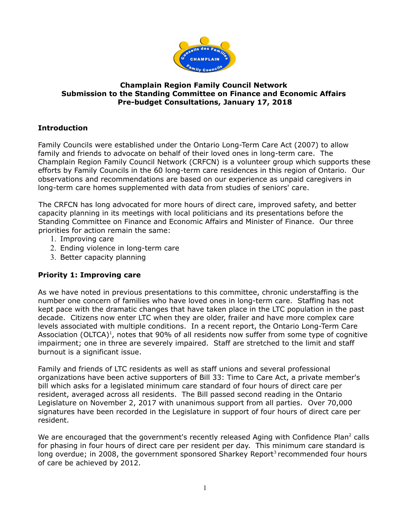

### **Champlain Region Family Council Network Submission to the Standing Committee on Finance and Economic Affairs Pre-budget Consultations, January 17, 2018**

# **Introduction**

Family Councils were established under the Ontario Long-Term Care Act (2007) to allow family and friends to advocate on behalf of their loved ones in long-term care. The Champlain Region Family Council Network (CRFCN) is a volunteer group which supports these efforts by Family Councils in the 60 long-term care residences in this region of Ontario. Our observations and recommendations are based on our experience as unpaid caregivers in long-term care homes supplemented with data from studies of seniors' care.

The CRFCN has long advocated for more hours of direct care, improved safety, and better capacity planning in its meetings with local politicians and its presentations before the Standing Committee on Finance and Economic Affairs and Minister of Finance. Our three priorities for action remain the same:

- 1. Improving care
- 2. Ending violence in long-term care
- 3. Better capacity planning

# **Priority 1: Improving care**

As we have noted in previous presentations to this committee, chronic understaffing is the number one concern of families who have loved ones in long-term care. Staffing has not kept pace with the dramatic changes that have taken place in the LTC population in the past decade. Citizens now enter LTC when they are older, frailer and have more complex care levels associated with multiple conditions. In a recent report, the Ontario Long-Term Care Association (OLTCA)<sup>1</sup>, notes that 90% of all residents now suffer from some type of cognitive impairment; one in three are severely impaired. Staff are stretched to the limit and staff burnout is a significant issue.

Family and friends of LTC residents as well as staff unions and several professional organizations have been active supporters of Bill 33: Time to Care Act, a private member's bill which asks for a legislated minimum care standard of four hours of direct care per resident, averaged across all residents. The Bill passed second reading in the Ontario Legislature on November 2, 2017 with unanimous support from all parties. Over 70,000 signatures have been recorded in the Legislature in support of four hours of direct care per resident.

We are encouraged that the government's recently released Aging with Confidence Plan<sup>2</sup> calls for phasing in four hours of direct care per resident per day. This minimum care standard is long overdue; in 2008, the government sponsored Sharkey Report<sup>3</sup> recommended four hours of care be achieved by 2012.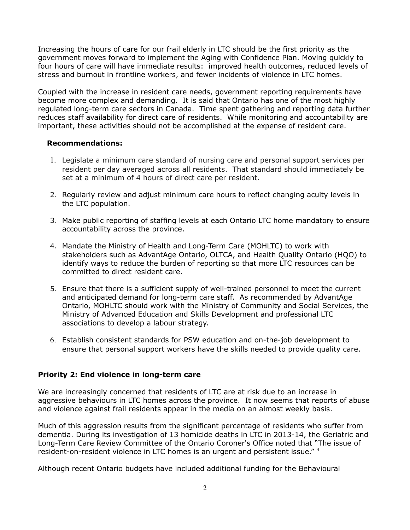Increasing the hours of care for our frail elderly in LTC should be the first priority as the government moves forward to implement the Aging with Confidence Plan. Moving quickly to four hours of care will have immediate results: improved health outcomes, reduced levels of stress and burnout in frontline workers, and fewer incidents of violence in LTC homes.

Coupled with the increase in resident care needs, government reporting requirements have become more complex and demanding. It is said that Ontario has one of the most highly regulated long-term care sectors in Canada. Time spent gathering and reporting data further reduces staff availability for direct care of residents. While monitoring and accountability are important, these activities should not be accomplished at the expense of resident care.

#### **Recommendations:**

- 1. Legislate a minimum care standard of nursing care and personal support services per resident per day averaged across all residents. That standard should immediately be set at a minimum of 4 hours of direct care per resident.
- 2. Regularly review and adjust minimum care hours to reflect changing acuity levels in the LTC population.
- 3. Make public reporting of staffing levels at each Ontario LTC home mandatory to ensure accountability across the province.
- 4. Mandate the Ministry of Health and Long-Term Care (MOHLTC) to work with stakeholders such as AdvantAge Ontario, OLTCA, and Health Quality Ontario (HQO) to identify ways to reduce the burden of reporting so that more LTC resources can be committed to direct resident care.
- 5. Ensure that there is a sufficient supply of well-trained personnel to meet the current and anticipated demand for long-term care staff. As recommended by AdvantAge Ontario, MOHLTC should work with the Ministry of Community and Social Services, the Ministry of Advanced Education and Skills Development and professional LTC associations to develop a labour strategy.
- 6. Establish consistent standards for PSW education and on-the-job development to ensure that personal support workers have the skills needed to provide quality care.

#### **Priority 2: End violence in long-term care**

We are increasingly concerned that residents of LTC are at risk due to an increase in aggressive behaviours in LTC homes across the province. It now seems that reports of abuse and violence against frail residents appear in the media on an almost weekly basis.

Much of this aggression results from the significant percentage of residents who suffer from dementia. During its investigation of 13 homicide deaths in LTC in 2013-14, the Geriatric and Long-Term Care Review Committee of the Ontario Coroner's Office noted that "The issue of resident-on-resident violence in LTC homes is an urgent and persistent issue." <sup>4</sup>

Although recent Ontario budgets have included additional funding for the Behavioural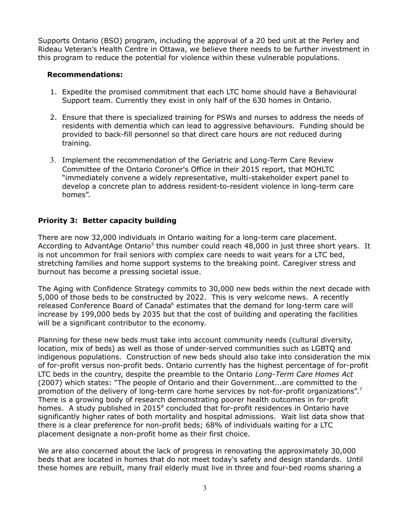Supports Ontario (BSO) program, including the approval of a 20 bed unit at the Perley and Rideau Veteran's Health Centre in Ottawa, we believe there needs to be further investment in this program to reduce the potential for violence within these vulnerable populations.

#### **Recommendations:**

- 1. Expedite the promised commitment that each LTC home should have a Behavioural Support team. Currently they exist in only half of the 630 homes in Ontario.
- 2. Ensure that there is specialized training for PSWs and nurses to address the needs of residents with dementia which can lead to aggressive behaviours. Funding should be provided to back-fill personnel so that direct care hours are not reduced during training.
- 3. Implement the recommendation of the Geriatric and Long-Term Care Review Committee of the Ontario Coroner's Office in their 2015 report, that MOHLTC "immediately convene a widely representative, multi-stakeholder expert panel to develop a concrete plan to address resident-to-resident violence in long-term care homes".

## **Priority 3: Better capacity building**

There are now 32,000 individuals in Ontario waiting for a long-term care placement. According to AdvantAge Ontario<sup>5</sup> this number could reach 48,000 in just three short years. It is not uncommon for frail seniors with complex care needs to wait years for a LTC bed, stretching families and home support systems to the breaking point. Caregiver stress and burnout has become a pressing societal issue.

The Aging with Confidence Strategy commits to 30,000 new beds within the next decade with 5,000 of those beds to be constructed by 2022. This is very welcome news. A recently released Conference Board of Canada<sup>6</sup> estimates that the demand for long-term care will increase by 199,000 beds by 2035 but that the cost of building and operating the facilities will be a significant contributor to the economy.

Planning for these new beds must take into account community needs (cultural diversity, location, mix of beds) as well as those of under-served communities such as LGBTQ and indigenous populations. Construction of new beds should also take into consideration the mix of for-profit versus non-profit beds. Ontario currently has the highest percentage of for-profit LTC beds in the country, despite the preamble to the Ontario *Long-Term Care Homes Act* (2007) which states: "The people of Ontario and their Government...are committed to the promotion of the delivery of long-term care home services by not-for-profit organizations".<sup>7</sup> There is a growing body of research demonstrating poorer health outcomes in for-profit homes. A study published in  $2015^8$  concluded that for-profit residences in Ontario have significantly higher rates of both mortality and hospital admissions. Wait list data show that there is a clear preference for non-profit beds; 68% of individuals waiting for a LTC placement designate a non-profit home as their first choice.

We are also concerned about the lack of progress in renovating the approximately 30,000 beds that are located in homes that do not meet today's safety and design standards. Until these homes are rebuilt, many frail elderly must live in three and four-bed rooms sharing a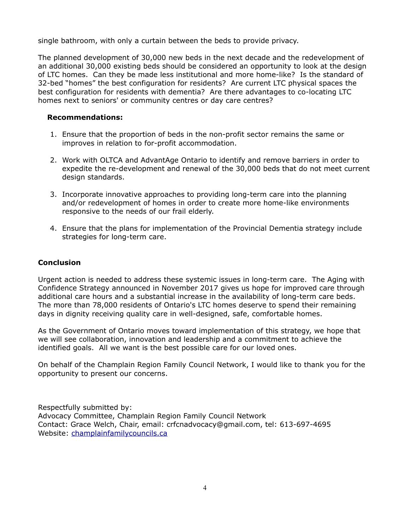single bathroom, with only a curtain between the beds to provide privacy.

The planned development of 30,000 new beds in the next decade and the redevelopment of an additional 30,000 existing beds should be considered an opportunity to look at the design of LTC homes. Can they be made less institutional and more home-like? Is the standard of 32-bed "homes" the best configuration for residents? Are current LTC physical spaces the best configuration for residents with dementia? Are there advantages to co-locating LTC homes next to seniors' or community centres or day care centres?

### **Recommendations:**

- 1. Ensure that the proportion of beds in the non-profit sector remains the same or improves in relation to for-profit accommodation.
- 2. Work with OLTCA and AdvantAge Ontario to identify and remove barriers in order to expedite the re-development and renewal of the 30,000 beds that do not meet current design standards.
- 3. Incorporate innovative approaches to providing long-term care into the planning and/or redevelopment of homes in order to create more home-like environments responsive to the needs of our frail elderly.
- 4. Ensure that the plans for implementation of the Provincial Dementia strategy include strategies for long-term care.

## **Conclusion**

Urgent action is needed to address these systemic issues in long-term care. The Aging with Confidence Strategy announced in November 2017 gives us hope for improved care through additional care hours and a substantial increase in the availability of long-term care beds. The more than 78,000 residents of Ontario's LTC homes deserve to spend their remaining days in dignity receiving quality care in well-designed, safe, comfortable homes.

As the Government of Ontario moves toward implementation of this strategy, we hope that we will see collaboration, innovation and leadership and a commitment to achieve the identified goals. All we want is the best possible care for our loved ones.

On behalf of the Champlain Region Family Council Network, I would like to thank you for the opportunity to present our concerns.

Respectfully submitted by: Advocacy Committee, Champlain Region Family Council Network Contact: Grace Welch, Chair, email: crfcnadvocacy@gmail.com, tel: 613-697-4695 Website: champlainfamilycouncils.ca